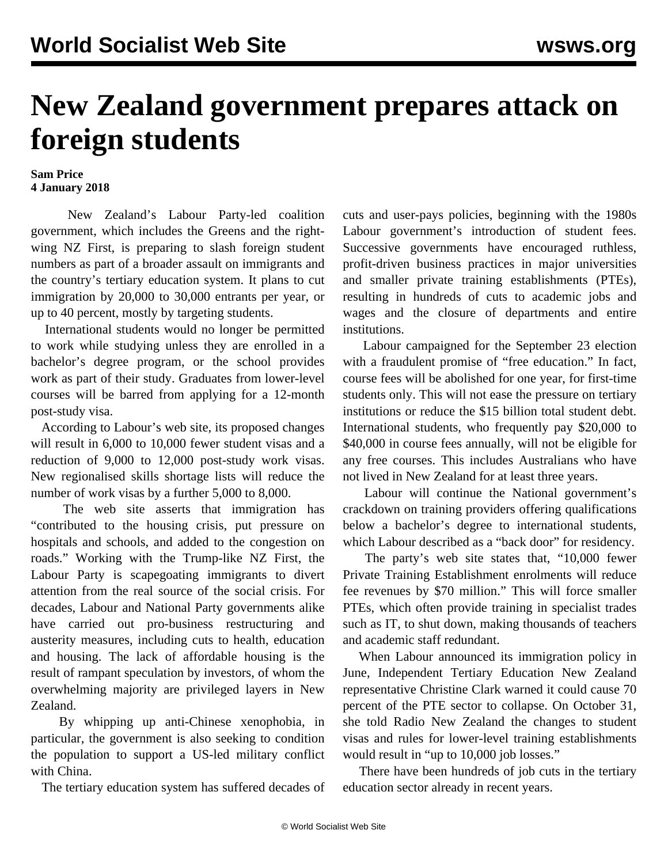## **New Zealand government prepares attack on foreign students**

## **Sam Price 4 January 2018**

 New Zealand's Labour Party-led coalition government, which includes the Greens and the rightwing NZ First, is preparing to slash foreign student numbers as part of a broader assault on immigrants and the country's tertiary education system. It plans to cut immigration by 20,000 to 30,000 entrants per year, or up to 40 percent, mostly by targeting students.

 International students would no longer be permitted to work while studying unless they are enrolled in a bachelor's degree program, or the school provides work as part of their study. Graduates from lower-level courses will be barred from applying for a 12-month post-study visa.

 According to Labour's web site, its proposed changes will result in 6,000 to 10,000 fewer student visas and a reduction of 9,000 to 12,000 post-study work visas. New regionalised skills shortage lists will reduce the number of work visas by a further 5,000 to 8,000.

 The web site asserts that immigration has "contributed to the housing crisis, put pressure on hospitals and schools, and added to the congestion on roads." Working with the Trump-like NZ First, the Labour Party is scapegoating immigrants to divert attention from the real source of the social crisis. For decades, Labour and National Party governments alike have carried out pro-business restructuring and austerity measures, including cuts to health, education and housing. The lack of affordable housing is the result of rampant speculation by investors, of whom the overwhelming majority are privileged layers in New Zealand.

 By whipping up anti-Chinese xenophobia, in particular, the government is also seeking to condition the population to support a US-led military conflict with China.

The tertiary education system has suffered decades of

cuts and user-pays policies, beginning with the 1980s Labour government's introduction of student fees. Successive governments have encouraged ruthless, profit-driven business practices in major universities and smaller private training establishments (PTEs), resulting in hundreds of cuts to academic jobs and wages and the closure of departments and entire institutions.

 Labour campaigned for the September 23 election with a fraudulent [promise](/en/articles/2017/09/21/edla-s21.html) of "free education." In fact, course fees will be abolished for one year, for first-time students only. This will not ease the pressure on tertiary institutions or reduce the \$15 billion total student debt. International students, who frequently pay \$20,000 to \$40,000 in course fees annually, will not be eligible for any free courses. This includes Australians who have not lived in New Zealand for at least three years.

 Labour will continue the National government's crackdown on training providers offering qualifications below a bachelor's degree to international students, which Labour described as a "back door" for residency.

 The party's web site states that, "10,000 fewer Private Training Establishment enrolments will reduce fee revenues by \$70 million." This will force smaller PTEs, which often provide training in specialist trades such as IT, to shut down, making thousands of teachers and academic staff redundant.

 When Labour announced its immigration policy in June, Independent Tertiary Education New Zealand representative Christine Clark warned it could cause 70 percent of the PTE sector to collapse. On October 31, she told Radio New Zealand the changes to student visas and rules for lower-level training establishments would result in "up to 10,000 job losses."

 There have been hundreds of job cuts in the tertiary education sector already in recent years.